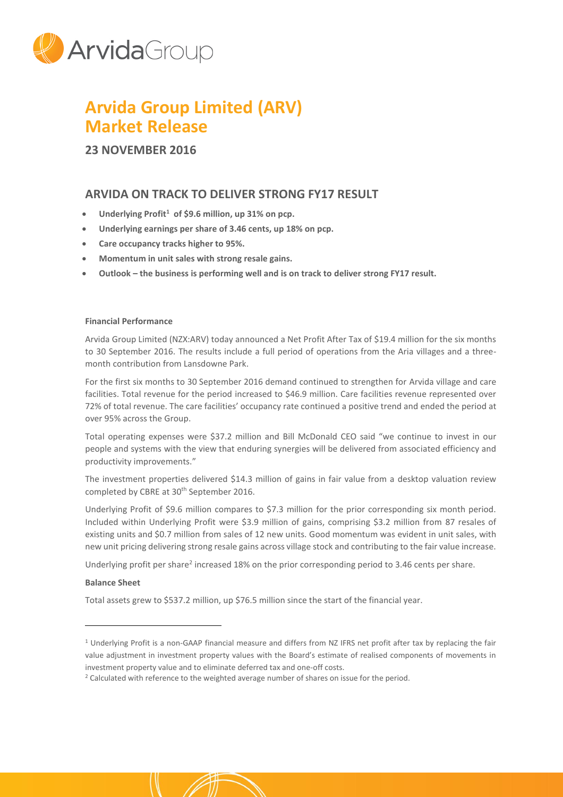

# **Arvida Group Limited (ARV) Market Release**

**23 NOVEMBER 2016**

# **ARVIDA ON TRACK TO DELIVER STRONG FY17 RESULT**

- **Underlying Profit<sup>1</sup> of \$9.6 million, up 31% on pcp.**
- **Underlying earnings per share of 3.46 cents, up 18% on pcp.**
- **Care occupancy tracks higher to 95%.**
- **Momentum in unit sales with strong resale gains.**
- **Outlook – the business is performing well and is on track to deliver strong FY17 result.**

## **Financial Performance**

Arvida Group Limited (NZX:ARV) today announced a Net Profit After Tax of \$19.4 million for the six months to 30 September 2016. The results include a full period of operations from the Aria villages and a threemonth contribution from Lansdowne Park.

For the first six months to 30 September 2016 demand continued to strengthen for Arvida village and care facilities. Total revenue for the period increased to \$46.9 million. Care facilities revenue represented over 72% of total revenue. The care facilities' occupancy rate continued a positive trend and ended the period at over 95% across the Group.

Total operating expenses were \$37.2 million and Bill McDonald CEO said "we continue to invest in our people and systems with the view that enduring synergies will be delivered from associated efficiency and productivity improvements."

The investment properties delivered \$14.3 million of gains in fair value from a desktop valuation review completed by CBRE at 30<sup>th</sup> September 2016.

Underlying Profit of \$9.6 million compares to \$7.3 million for the prior corresponding six month period. Included within Underlying Profit were \$3.9 million of gains, comprising \$3.2 million from 87 resales of existing units and \$0.7 million from sales of 12 new units. Good momentum was evident in unit sales, with new unit pricing delivering strong resale gains across village stock and contributing to the fair value increase.

Underlying profit per share<sup>2</sup> increased 18% on the prior corresponding period to 3.46 cents per share.

### **Balance Sheet**

 $\overline{a}$ 

Total assets grew to \$537.2 million, up \$76.5 million since the start of the financial year.

<sup>&</sup>lt;sup>1</sup> Underlying Profit is a non-GAAP financial measure and differs from NZ IFRS net profit after tax by replacing the fair value adjustment in investment property values with the Board's estimate of realised components of movements in investment property value and to eliminate deferred tax and one-off costs.

<sup>&</sup>lt;sup>2</sup> Calculated with reference to the weighted average number of shares on issue for the period.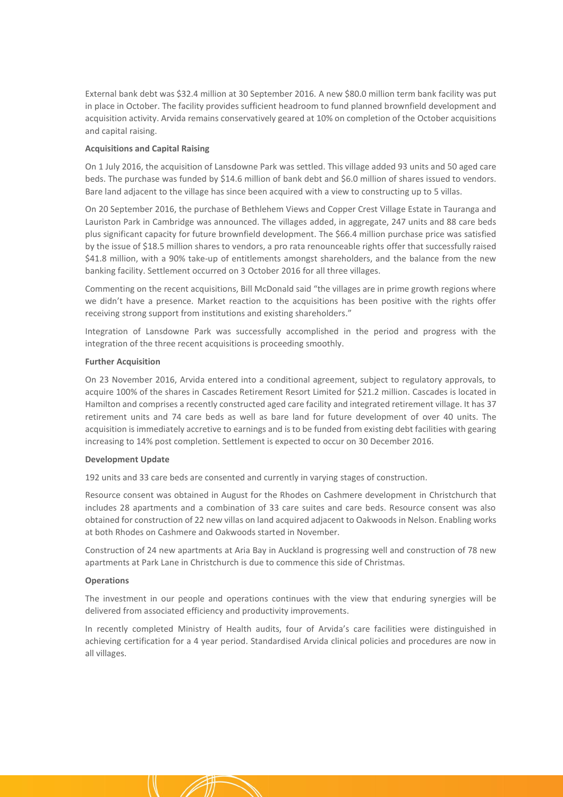External bank debt was \$32.4 million at 30 September 2016. A new \$80.0 million term bank facility was put in place in October. The facility provides sufficient headroom to fund planned brownfield development and acquisition activity. Arvida remains conservatively geared at 10% on completion of the October acquisitions and capital raising.

#### **Acquisitions and Capital Raising**

On 1 July 2016, the acquisition of Lansdowne Park was settled. This village added 93 units and 50 aged care beds. The purchase was funded by \$14.6 million of bank debt and \$6.0 million of shares issued to vendors. Bare land adjacent to the village has since been acquired with a view to constructing up to 5 villas.

On 20 September 2016, the purchase of Bethlehem Views and Copper Crest Village Estate in Tauranga and Lauriston Park in Cambridge was announced. The villages added, in aggregate, 247 units and 88 care beds plus significant capacity for future brownfield development. The \$66.4 million purchase price was satisfied by the issue of \$18.5 million shares to vendors, a pro rata renounceable rights offer that successfully raised \$41.8 million, with a 90% take-up of entitlements amongst shareholders, and the balance from the new banking facility. Settlement occurred on 3 October 2016 for all three villages.

Commenting on the recent acquisitions, Bill McDonald said "the villages are in prime growth regions where we didn't have a presence. Market reaction to the acquisitions has been positive with the rights offer receiving strong support from institutions and existing shareholders."

Integration of Lansdowne Park was successfully accomplished in the period and progress with the integration of the three recent acquisitions is proceeding smoothly.

#### **Further Acquisition**

On 23 November 2016, Arvida entered into a conditional agreement, subject to regulatory approvals, to acquire 100% of the shares in Cascades Retirement Resort Limited for \$21.2 million. Cascades is located in Hamilton and comprises a recently constructed aged care facility and integrated retirement village. It has 37 retirement units and 74 care beds as well as bare land for future development of over 40 units. The acquisition is immediately accretive to earnings and is to be funded from existing debt facilities with gearing increasing to 14% post completion. Settlement is expected to occur on 30 December 2016.

#### **Development Update**

192 units and 33 care beds are consented and currently in varying stages of construction.

Resource consent was obtained in August for the Rhodes on Cashmere development in Christchurch that includes 28 apartments and a combination of 33 care suites and care beds. Resource consent was also obtained for construction of 22 new villas on land acquired adjacent to Oakwoods in Nelson. Enabling works at both Rhodes on Cashmere and Oakwoods started in November.

Construction of 24 new apartments at Aria Bay in Auckland is progressing well and construction of 78 new apartments at Park Lane in Christchurch is due to commence this side of Christmas.

#### **Operations**

The investment in our people and operations continues with the view that enduring synergies will be delivered from associated efficiency and productivity improvements.

In recently completed Ministry of Health audits, four of Arvida's care facilities were distinguished in achieving certification for a 4 year period. Standardised Arvida clinical policies and procedures are now in all villages.